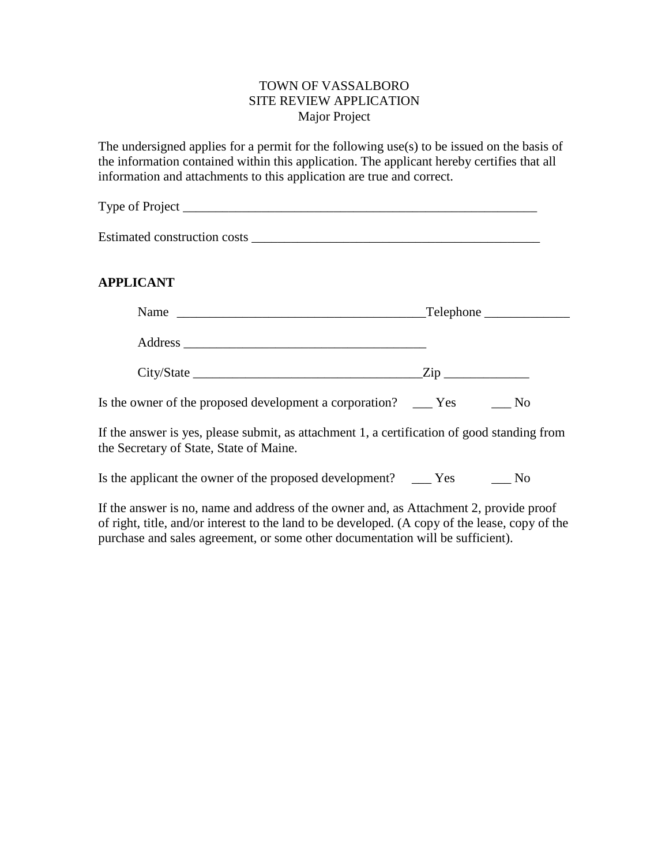## TOWN OF VASSALBORO SITE REVIEW APPLICATION Major Project

The undersigned applies for a permit for the following use(s) to be issued on the basis of the information contained within this application. The applicant hereby certifies that all information and attachments to this application are true and correct.

| Type of Project |  |  |
|-----------------|--|--|
|                 |  |  |
|                 |  |  |

Estimated construction costs \_\_\_\_\_\_\_\_\_\_\_\_\_\_\_\_\_\_\_\_\_\_\_\_\_\_\_\_\_\_\_\_\_\_\_\_\_\_\_\_\_\_\_\_

# **APPLICANT**

| Name<br><u> Alexandria de la contrada de la contrada de la contrada de la contrada de la contrada de la contrada de la c</u> | $\Box$ Telephone $\Box$ |      |  |
|------------------------------------------------------------------------------------------------------------------------------|-------------------------|------|--|
|                                                                                                                              |                         |      |  |
|                                                                                                                              | $\rm{Zip}_{-}$          |      |  |
| Is the owner of the proposed development a corporation? _____ Yes                                                            |                         | - No |  |

If the answer is yes, please submit, as attachment 1, a certification of good standing from the Secretary of State, State of Maine.

Is the applicant the owner of the proposed development? \_\_\_ Yes \_\_\_\_ No

If the answer is no, name and address of the owner and, as Attachment 2, provide proof of right, title, and/or interest to the land to be developed. (A copy of the lease, copy of the purchase and sales agreement, or some other documentation will be sufficient).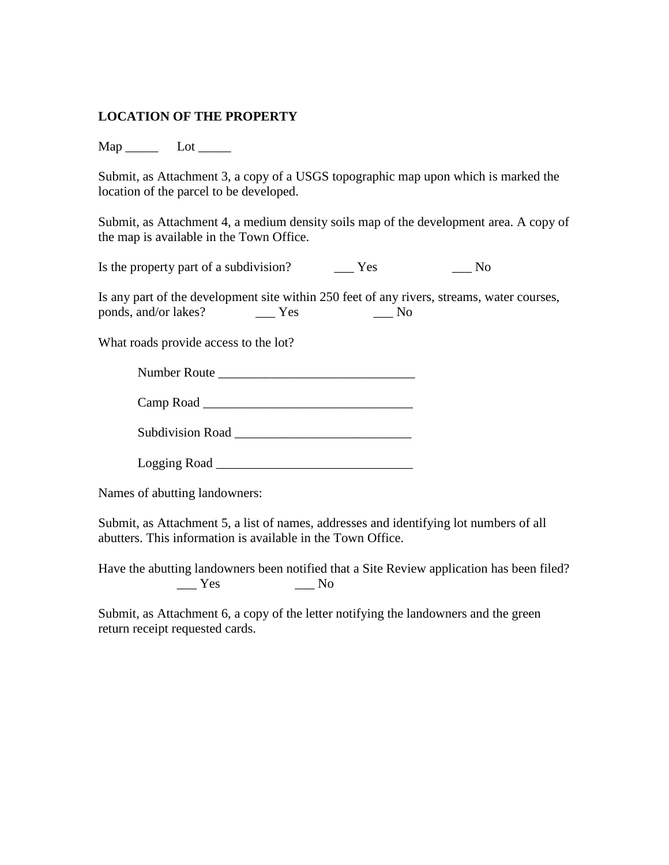# **LOCATION OF THE PROPERTY**

Map \_\_\_\_\_ Lot \_\_\_\_\_

Submit, as Attachment 3, a copy of a USGS topographic map upon which is marked the location of the parcel to be developed.

Submit, as Attachment 4, a medium density soils map of the development area. A copy of the map is available in the Town Office.

Is the property part of a subdivision? \_\_\_\_\_ Yes \_\_\_\_\_\_ No

Is any part of the development site within 250 feet of any rivers, streams, water courses, ponds, and/or lakes? \_\_\_ Yes \_\_\_ No

What roads provide access to the lot?

Number Route \_\_\_\_\_\_\_\_\_\_\_\_\_\_\_\_\_\_\_\_\_\_\_\_\_\_\_\_\_\_

| Camp Road |  |  |  |
|-----------|--|--|--|
|           |  |  |  |

| <b>Subdivision Road</b> |  |
|-------------------------|--|
|                         |  |

Logging Road \_\_\_\_\_\_\_\_\_\_\_\_\_\_\_\_\_\_\_\_\_\_\_\_\_\_\_\_\_\_

Names of abutting landowners:

Submit, as Attachment 5, a list of names, addresses and identifying lot numbers of all abutters. This information is available in the Town Office.

Have the abutting landowners been notified that a Site Review application has been filed?  $\_\_$  Yes  $\_\_$  No

Submit, as Attachment 6, a copy of the letter notifying the landowners and the green return receipt requested cards.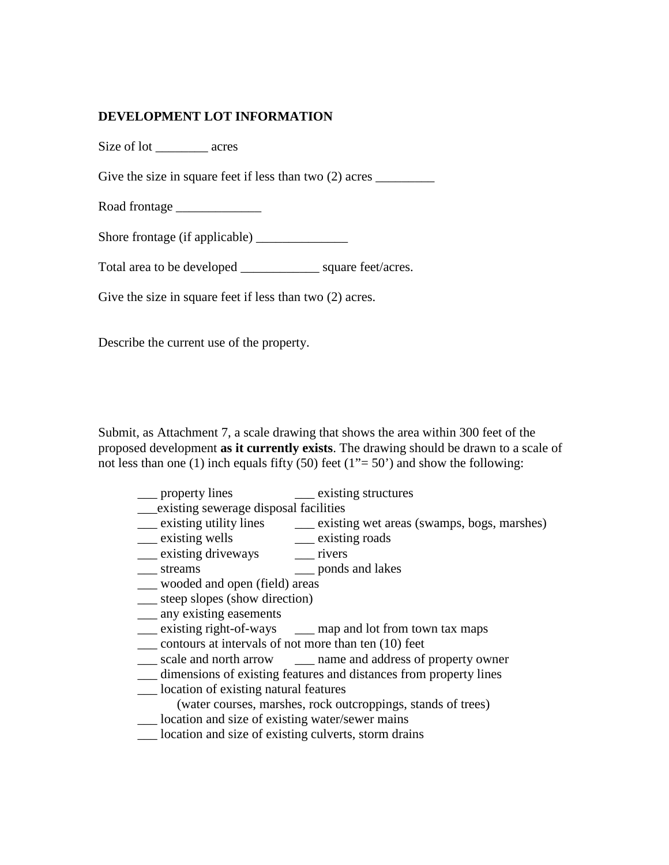## **DEVELOPMENT LOT INFORMATION**

Size of lot \_\_\_\_\_\_\_\_ acres

Give the size in square feet if less than two (2) acres \_\_\_\_\_\_\_\_\_

Road frontage \_\_\_\_\_\_\_\_\_\_\_\_\_

Shore frontage (if applicable)

Total area to be developed \_\_\_\_\_\_\_\_\_\_\_\_ square feet/acres.

Give the size in square feet if less than two  $(2)$  acres.

Describe the current use of the property.

Submit, as Attachment 7, a scale drawing that shows the area within 300 feet of the proposed development **as it currently exists**. The drawing should be drawn to a scale of not less than one (1) inch equals fifty (50) feet ( $1" = 50'$ ) and show the following:

| <sub>property</sub> lines                                         | existing structures                                               |  |  |  |
|-------------------------------------------------------------------|-------------------------------------------------------------------|--|--|--|
| existing sewerage disposal facilities                             |                                                                   |  |  |  |
|                                                                   | existing utility lines existing wet areas (swamps, bogs, marshes) |  |  |  |
| <u>existing</u> wells                                             | _____ existing roads                                              |  |  |  |
| <u>__</u> existing driveways                                      | rivers                                                            |  |  |  |
| streams                                                           | ponds and lakes                                                   |  |  |  |
| ___ wooded and open (field) areas                                 |                                                                   |  |  |  |
| ___ steep slopes (show direction)                                 |                                                                   |  |  |  |
| ___ any existing easements                                        |                                                                   |  |  |  |
|                                                                   | __ existing right-of-ways ____ map and lot from town tax maps     |  |  |  |
| contours at intervals of not more than ten (10) feet              |                                                                   |  |  |  |
|                                                                   | scale and north arrow _______ name and address of property owner  |  |  |  |
| dimensions of existing features and distances from property lines |                                                                   |  |  |  |
| location of existing natural features                             |                                                                   |  |  |  |
| (water courses, marshes, rock outcroppings, stands of trees)      |                                                                   |  |  |  |
| ___ location and size of existing water/sewer mains               |                                                                   |  |  |  |
| location and size of existing culverts, storm drains              |                                                                   |  |  |  |
|                                                                   |                                                                   |  |  |  |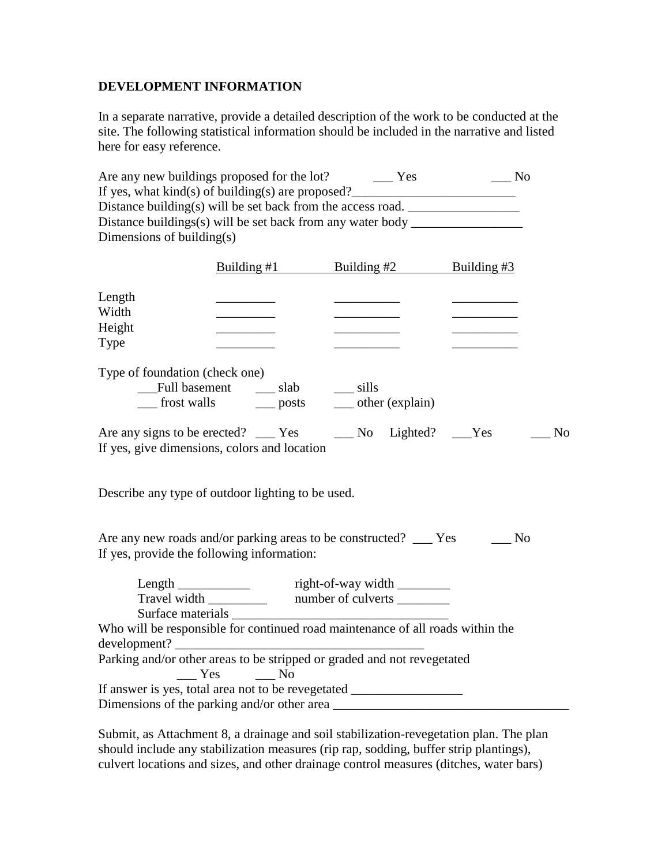# **DEVELOPMENT INFORMATION**

In a separate narrative, provide a detailed description of the work to be conducted at the site. The following statistical information should be included in the narrative and listed here for easy reference.

|                              | Are any new buildings proposed for the lot? ________ Yes                                                                  |                                                                                                                                                                                                                                                                                                                                                                                                                                                                                  | $\overline{\phantom{0}}$ No                                                           |
|------------------------------|---------------------------------------------------------------------------------------------------------------------------|----------------------------------------------------------------------------------------------------------------------------------------------------------------------------------------------------------------------------------------------------------------------------------------------------------------------------------------------------------------------------------------------------------------------------------------------------------------------------------|---------------------------------------------------------------------------------------|
|                              |                                                                                                                           |                                                                                                                                                                                                                                                                                                                                                                                                                                                                                  |                                                                                       |
|                              | Distance building(s) will be set back from the access road.                                                               |                                                                                                                                                                                                                                                                                                                                                                                                                                                                                  |                                                                                       |
|                              | Distance buildings(s) will be set back from any water body _____________________                                          |                                                                                                                                                                                                                                                                                                                                                                                                                                                                                  |                                                                                       |
| Dimensions of building $(s)$ |                                                                                                                           |                                                                                                                                                                                                                                                                                                                                                                                                                                                                                  |                                                                                       |
|                              | Building $#1$                                                                                                             | Building $#2$ Building $#3$                                                                                                                                                                                                                                                                                                                                                                                                                                                      |                                                                                       |
| Length                       |                                                                                                                           |                                                                                                                                                                                                                                                                                                                                                                                                                                                                                  |                                                                                       |
| Width                        |                                                                                                                           |                                                                                                                                                                                                                                                                                                                                                                                                                                                                                  |                                                                                       |
| Height                       | $\overline{\phantom{a}}$                                                                                                  | $\begin{tabular}{lllllllllllll} \multicolumn{3}{l}{} & \multicolumn{3}{l}{} & \multicolumn{3}{l}{} & \multicolumn{3}{l}{} & \multicolumn{3}{l}{} & \multicolumn{3}{l}{} & \multicolumn{3}{l}{} & \multicolumn{3}{l}{} & \multicolumn{3}{l}{} & \multicolumn{3}{l}{} & \multicolumn{3}{l}{} & \multicolumn{3}{l}{} & \multicolumn{3}{l}{} & \multicolumn{3}{l}{} & \multicolumn{3}{l}{} & \multicolumn{3}{l}{} & \multicolumn{3}{l}{} & \multicolumn{3}{l}{} & \multicolumn{3}{l$ |                                                                                       |
| Type                         |                                                                                                                           |                                                                                                                                                                                                                                                                                                                                                                                                                                                                                  |                                                                                       |
|                              | Type of foundation (check one)<br>___ frost walls ____ posts ____ other (explain)                                         |                                                                                                                                                                                                                                                                                                                                                                                                                                                                                  |                                                                                       |
|                              |                                                                                                                           |                                                                                                                                                                                                                                                                                                                                                                                                                                                                                  | Are any signs to be erected? ______ Yes ____________ No Lighted? _____Yes ________ No |
|                              | If yes, give dimensions, colors and location                                                                              |                                                                                                                                                                                                                                                                                                                                                                                                                                                                                  |                                                                                       |
|                              |                                                                                                                           |                                                                                                                                                                                                                                                                                                                                                                                                                                                                                  |                                                                                       |
|                              | Describe any type of outdoor lighting to be used.                                                                         |                                                                                                                                                                                                                                                                                                                                                                                                                                                                                  |                                                                                       |
|                              | Are any new roads and/or parking areas to be constructed? ___ Yes ______ No<br>If yes, provide the following information: |                                                                                                                                                                                                                                                                                                                                                                                                                                                                                  |                                                                                       |
|                              | Length _______________ right-of-way width ________                                                                        |                                                                                                                                                                                                                                                                                                                                                                                                                                                                                  |                                                                                       |
|                              | Travel width ______________ number of culverts __________                                                                 |                                                                                                                                                                                                                                                                                                                                                                                                                                                                                  |                                                                                       |
|                              |                                                                                                                           |                                                                                                                                                                                                                                                                                                                                                                                                                                                                                  |                                                                                       |
|                              | Who will be responsible for continued road maintenance of all roads within the                                            |                                                                                                                                                                                                                                                                                                                                                                                                                                                                                  |                                                                                       |
|                              |                                                                                                                           |                                                                                                                                                                                                                                                                                                                                                                                                                                                                                  |                                                                                       |
|                              | Parking and/or other areas to be stripped or graded and not revegetated                                                   |                                                                                                                                                                                                                                                                                                                                                                                                                                                                                  |                                                                                       |
|                              | $Yes$ No                                                                                                                  |                                                                                                                                                                                                                                                                                                                                                                                                                                                                                  |                                                                                       |
|                              | If answer is yes, total area not to be revegetated _____________________________                                          |                                                                                                                                                                                                                                                                                                                                                                                                                                                                                  |                                                                                       |
|                              | Dimensions of the parking and/or other area                                                                               |                                                                                                                                                                                                                                                                                                                                                                                                                                                                                  |                                                                                       |

Submit, as Attachment 8, a drainage and soil stabilization-revegetation plan. The plan should include any stabilization measures (rip rap, sodding, buffer strip plantings), culvert locations and sizes, and other drainage control measures (ditches, water bars)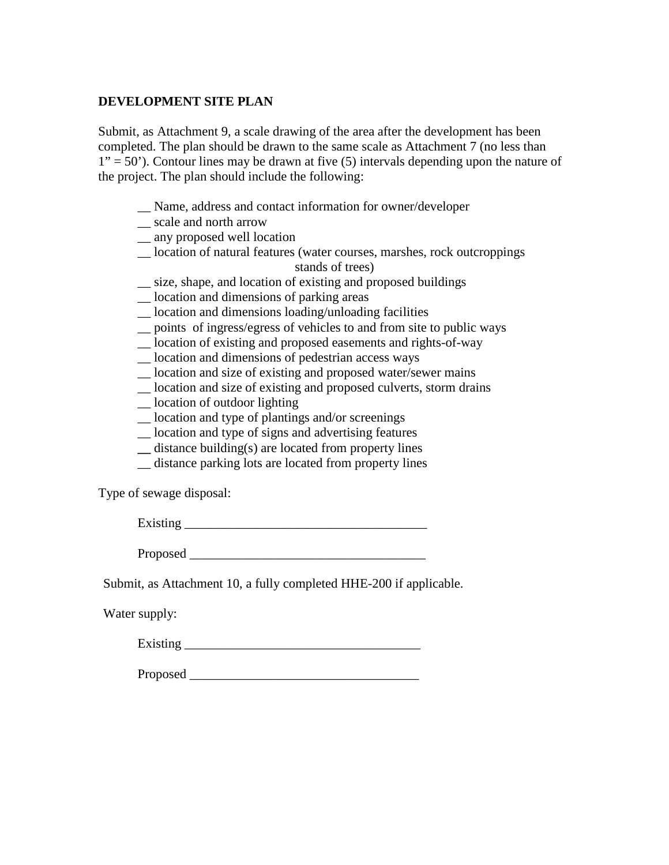### **DEVELOPMENT SITE PLAN**

Submit, as Attachment 9, a scale drawing of the area after the development has been completed. The plan should be drawn to the same scale as Attachment 7 (no less than  $1" = 50"$ ). Contour lines may be drawn at five (5) intervals depending upon the nature of the project. The plan should include the following:

- \_\_ Name, address and contact information for owner/developer
- \_\_ scale and north arrow
- \_\_ any proposed well location
- \_\_ location of natural features (water courses, marshes, rock outcroppings stands of trees)
	-
- \_\_ size, shape, and location of existing and proposed buildings \_\_ location and dimensions of parking areas
- \_\_ location and dimensions loading/unloading facilities
- \_\_ points of ingress/egress of vehicles to and from site to public ways
- \_\_ location of existing and proposed easements and rights-of-way
- \_\_ location and dimensions of pedestrian access ways
- \_\_ location and size of existing and proposed water/sewer mains
- \_\_ location and size of existing and proposed culverts, storm drains
- \_\_ location of outdoor lighting
- \_\_ location and type of plantings and/or screenings
- \_\_ location and type of signs and advertising features
- **\_\_** distance building(s) are located from property lines
- \_\_ distance parking lots are located from property lines

Type of sewage disposal:

Existing  $\overline{\phantom{a}}$ 

Proposed  $\blacksquare$ 

Submit, as Attachment 10, a fully completed HHE-200 if applicable.

Water supply:

 $\frac{1}{2}$  Existing  $\frac{1}{2}$ 

Proposed \_\_\_\_\_\_\_\_\_\_\_\_\_\_\_\_\_\_\_\_\_\_\_\_\_\_\_\_\_\_\_\_\_\_\_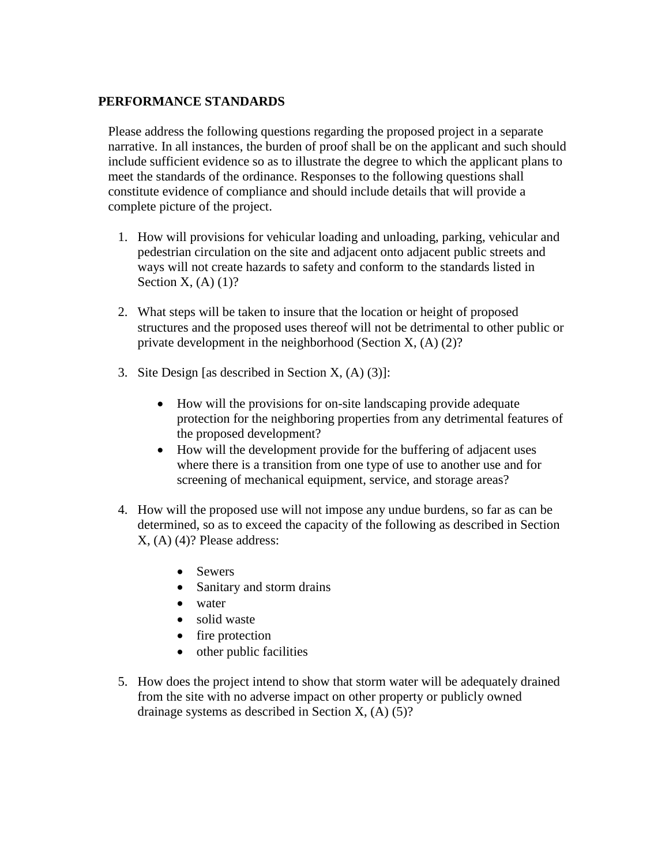### **PERFORMANCE STANDARDS**

Please address the following questions regarding the proposed project in a separate narrative. In all instances, the burden of proof shall be on the applicant and such should include sufficient evidence so as to illustrate the degree to which the applicant plans to meet the standards of the ordinance. Responses to the following questions shall constitute evidence of compliance and should include details that will provide a complete picture of the project.

- 1. How will provisions for vehicular loading and unloading, parking, vehicular and pedestrian circulation on the site and adjacent onto adjacent public streets and ways will not create hazards to safety and conform to the standards listed in Section  $X$ ,  $(A)$   $(1)$ ?
- 2. What steps will be taken to insure that the location or height of proposed structures and the proposed uses thereof will not be detrimental to other public or private development in the neighborhood (Section X, (A) (2)?
- 3. Site Design [as described in Section X, (A) (3)]:
	- How will the provisions for on-site landscaping provide adequate protection for the neighboring properties from any detrimental features of the proposed development?
	- How will the development provide for the buffering of adjacent uses where there is a transition from one type of use to another use and for screening of mechanical equipment, service, and storage areas?
- 4. How will the proposed use will not impose any undue burdens, so far as can be determined, so as to exceed the capacity of the following as described in Section X, (A) (4)? Please address:
	- Sewers
	- Sanitary and storm drains
	- water
	- solid waste
	- fire protection
	- other public facilities
- 5. How does the project intend to show that storm water will be adequately drained from the site with no adverse impact on other property or publicly owned drainage systems as described in Section X, (A) (5)?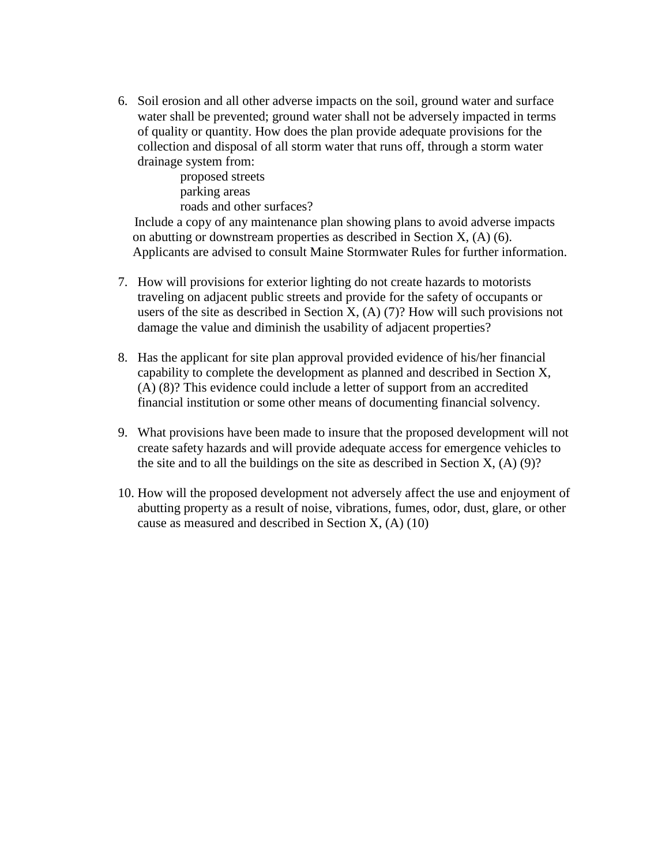6. Soil erosion and all other adverse impacts on the soil, ground water and surface water shall be prevented; ground water shall not be adversely impacted in terms of quality or quantity. How does the plan provide adequate provisions for the collection and disposal of all storm water that runs off, through a storm water drainage system from:

> proposed streets parking areas roads and other surfaces?

Include a copy of any maintenance plan showing plans to avoid adverse impacts on abutting or downstream properties as described in Section X, (A) (6). Applicants are advised to consult Maine Stormwater Rules for further information.

- 7. How will provisions for exterior lighting do not create hazards to motorists traveling on adjacent public streets and provide for the safety of occupants or users of the site as described in Section X,  $(A)$  (7)? How will such provisions not damage the value and diminish the usability of adjacent properties?
- 8. Has the applicant for site plan approval provided evidence of his/her financial capability to complete the development as planned and described in Section X, (A) (8)? This evidence could include a letter of support from an accredited financial institution or some other means of documenting financial solvency.
- 9. What provisions have been made to insure that the proposed development will not create safety hazards and will provide adequate access for emergence vehicles to the site and to all the buildings on the site as described in Section  $X$ ,  $(A)$  (9)?
- 10. How will the proposed development not adversely affect the use and enjoyment of abutting property as a result of noise, vibrations, fumes, odor, dust, glare, or other cause as measured and described in Section X, (A) (10)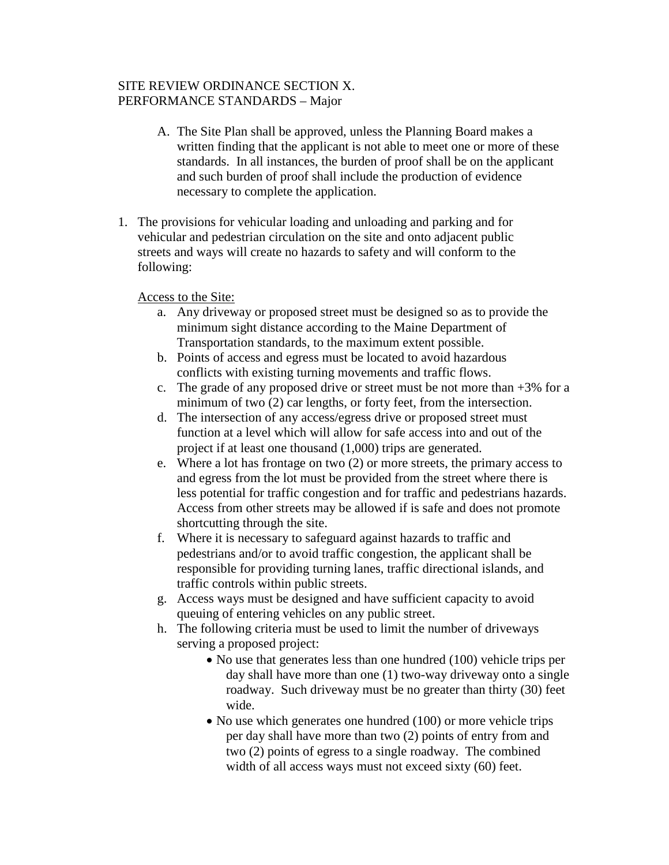### SITE REVIEW ORDINANCE SECTION X. PERFORMANCE STANDARDS – Major

- A. The Site Plan shall be approved, unless the Planning Board makes a written finding that the applicant is not able to meet one or more of these standards. In all instances, the burden of proof shall be on the applicant and such burden of proof shall include the production of evidence necessary to complete the application.
- 1. The provisions for vehicular loading and unloading and parking and for vehicular and pedestrian circulation on the site and onto adjacent public streets and ways will create no hazards to safety and will conform to the following:

#### Access to the Site:

- a. Any driveway or proposed street must be designed so as to provide the minimum sight distance according to the Maine Department of Transportation standards, to the maximum extent possible.
- b. Points of access and egress must be located to avoid hazardous conflicts with existing turning movements and traffic flows.
- c. The grade of any proposed drive or street must be not more than  $+3\%$  for a minimum of two (2) car lengths, or forty feet, from the intersection.
- d. The intersection of any access/egress drive or proposed street must function at a level which will allow for safe access into and out of the project if at least one thousand (1,000) trips are generated.
- e. Where a lot has frontage on two (2) or more streets, the primary access to and egress from the lot must be provided from the street where there is less potential for traffic congestion and for traffic and pedestrians hazards. Access from other streets may be allowed if is safe and does not promote shortcutting through the site.
- f. Where it is necessary to safeguard against hazards to traffic and pedestrians and/or to avoid traffic congestion, the applicant shall be responsible for providing turning lanes, traffic directional islands, and traffic controls within public streets.
- g. Access ways must be designed and have sufficient capacity to avoid queuing of entering vehicles on any public street.
- h. The following criteria must be used to limit the number of driveways serving a proposed project:
	- No use that generates less than one hundred (100) vehicle trips per day shall have more than one (1) two-way driveway onto a single roadway. Such driveway must be no greater than thirty (30) feet wide.
	- No use which generates one hundred (100) or more vehicle trips per day shall have more than two (2) points of entry from and two (2) points of egress to a single roadway. The combined width of all access ways must not exceed sixty (60) feet.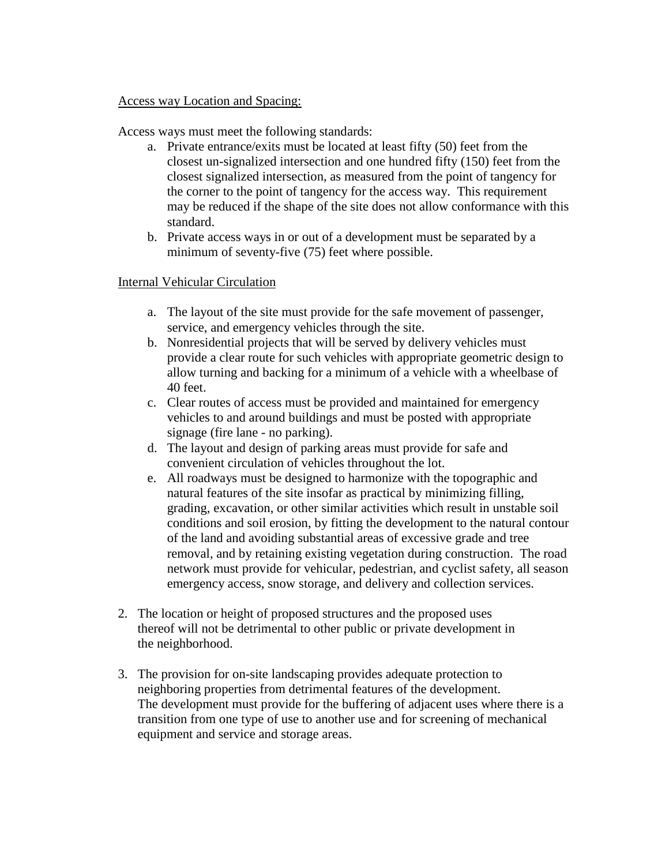#### Access way Location and Spacing:

Access ways must meet the following standards:

- a. Private entrance/exits must be located at least fifty (50) feet from the closest un-signalized intersection and one hundred fifty (150) feet from the closest signalized intersection, as measured from the point of tangency for the corner to the point of tangency for the access way. This requirement may be reduced if the shape of the site does not allow conformance with this standard.
- b. Private access ways in or out of a development must be separated by a minimum of seventy-five (75) feet where possible.

#### Internal Vehicular Circulation

- a. The layout of the site must provide for the safe movement of passenger, service, and emergency vehicles through the site.
- b. Nonresidential projects that will be served by delivery vehicles must provide a clear route for such vehicles with appropriate geometric design to allow turning and backing for a minimum of a vehicle with a wheelbase of 40 feet.
- c. Clear routes of access must be provided and maintained for emergency vehicles to and around buildings and must be posted with appropriate signage (fire lane - no parking).
- d. The layout and design of parking areas must provide for safe and convenient circulation of vehicles throughout the lot.
- e. All roadways must be designed to harmonize with the topographic and natural features of the site insofar as practical by minimizing filling, grading, excavation, or other similar activities which result in unstable soil conditions and soil erosion, by fitting the development to the natural contour of the land and avoiding substantial areas of excessive grade and tree removal, and by retaining existing vegetation during construction. The road network must provide for vehicular, pedestrian, and cyclist safety, all season emergency access, snow storage, and delivery and collection services.
- 2. The location or height of proposed structures and the proposed uses thereof will not be detrimental to other public or private development in the neighborhood.
- 3. The provision for on-site landscaping provides adequate protection to neighboring properties from detrimental features of the development. The development must provide for the buffering of adjacent uses where there is a transition from one type of use to another use and for screening of mechanical equipment and service and storage areas.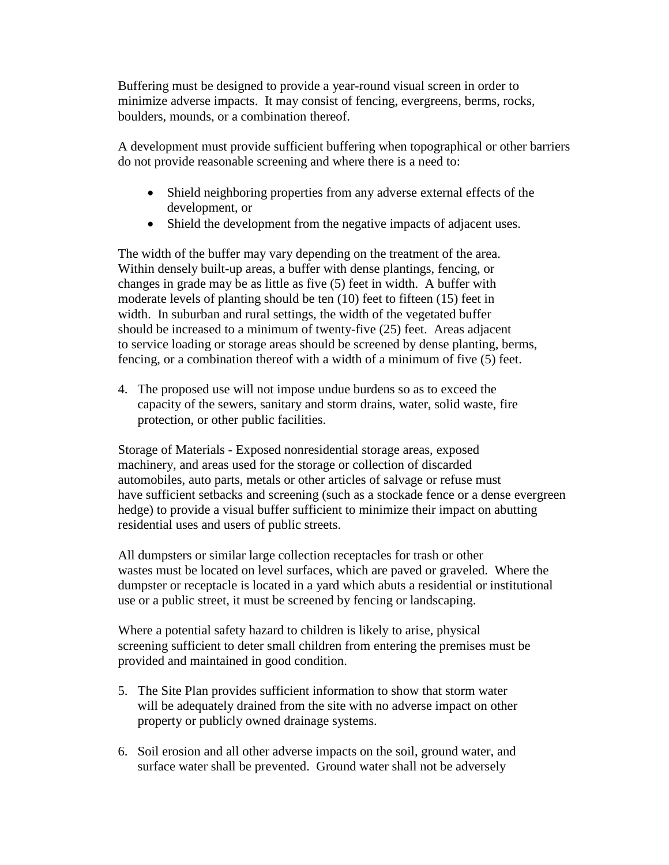Buffering must be designed to provide a year-round visual screen in order to minimize adverse impacts. It may consist of fencing, evergreens, berms, rocks, boulders, mounds, or a combination thereof.

A development must provide sufficient buffering when topographical or other barriers do not provide reasonable screening and where there is a need to:

- Shield neighboring properties from any adverse external effects of the development, or
- Shield the development from the negative impacts of adjacent uses.

The width of the buffer may vary depending on the treatment of the area. Within densely built-up areas, a buffer with dense plantings, fencing, or changes in grade may be as little as five (5) feet in width. A buffer with moderate levels of planting should be ten (10) feet to fifteen (15) feet in width. In suburban and rural settings, the width of the vegetated buffer should be increased to a minimum of twenty-five (25) feet. Areas adjacent to service loading or storage areas should be screened by dense planting, berms, fencing, or a combination thereof with a width of a minimum of five (5) feet.

4. The proposed use will not impose undue burdens so as to exceed the capacity of the sewers, sanitary and storm drains, water, solid waste, fire protection, or other public facilities.

Storage of Materials - Exposed nonresidential storage areas, exposed machinery, and areas used for the storage or collection of discarded automobiles, auto parts, metals or other articles of salvage or refuse must have sufficient setbacks and screening (such as a stockade fence or a dense evergreen hedge) to provide a visual buffer sufficient to minimize their impact on abutting residential uses and users of public streets.

All dumpsters or similar large collection receptacles for trash or other wastes must be located on level surfaces, which are paved or graveled. Where the dumpster or receptacle is located in a yard which abuts a residential or institutional use or a public street, it must be screened by fencing or landscaping.

Where a potential safety hazard to children is likely to arise, physical screening sufficient to deter small children from entering the premises must be provided and maintained in good condition.

- 5. The Site Plan provides sufficient information to show that storm water will be adequately drained from the site with no adverse impact on other property or publicly owned drainage systems.
- 6. Soil erosion and all other adverse impacts on the soil, ground water, and surface water shall be prevented. Ground water shall not be adversely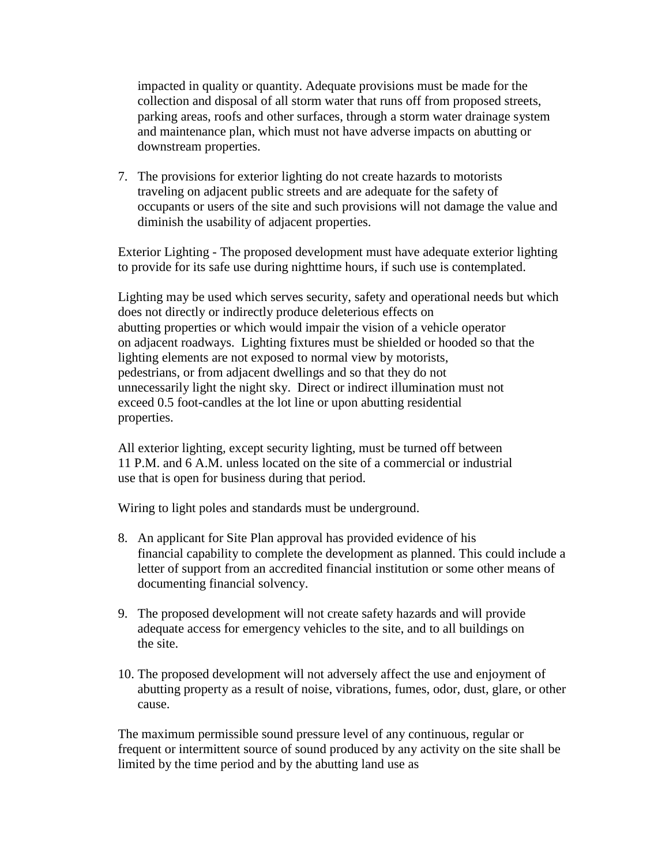impacted in quality or quantity. Adequate provisions must be made for the collection and disposal of all storm water that runs off from proposed streets, parking areas, roofs and other surfaces, through a storm water drainage system and maintenance plan, which must not have adverse impacts on abutting or downstream properties.

7. The provisions for exterior lighting do not create hazards to motorists traveling on adjacent public streets and are adequate for the safety of occupants or users of the site and such provisions will not damage the value and diminish the usability of adjacent properties.

Exterior Lighting - The proposed development must have adequate exterior lighting to provide for its safe use during nighttime hours, if such use is contemplated.

Lighting may be used which serves security, safety and operational needs but which does not directly or indirectly produce deleterious effects on abutting properties or which would impair the vision of a vehicle operator on adjacent roadways. Lighting fixtures must be shielded or hooded so that the lighting elements are not exposed to normal view by motorists, pedestrians, or from adjacent dwellings and so that they do not unnecessarily light the night sky. Direct or indirect illumination must not exceed 0.5 foot-candles at the lot line or upon abutting residential properties.

All exterior lighting, except security lighting, must be turned off between 11 P.M. and 6 A.M. unless located on the site of a commercial or industrial use that is open for business during that period.

Wiring to light poles and standards must be underground.

- 8. An applicant for Site Plan approval has provided evidence of his financial capability to complete the development as planned. This could include a letter of support from an accredited financial institution or some other means of documenting financial solvency.
- 9. The proposed development will not create safety hazards and will provide adequate access for emergency vehicles to the site, and to all buildings on the site.
- 10. The proposed development will not adversely affect the use and enjoyment of abutting property as a result of noise, vibrations, fumes, odor, dust, glare, or other cause.

The maximum permissible sound pressure level of any continuous, regular or frequent or intermittent source of sound produced by any activity on the site shall be limited by the time period and by the abutting land use as